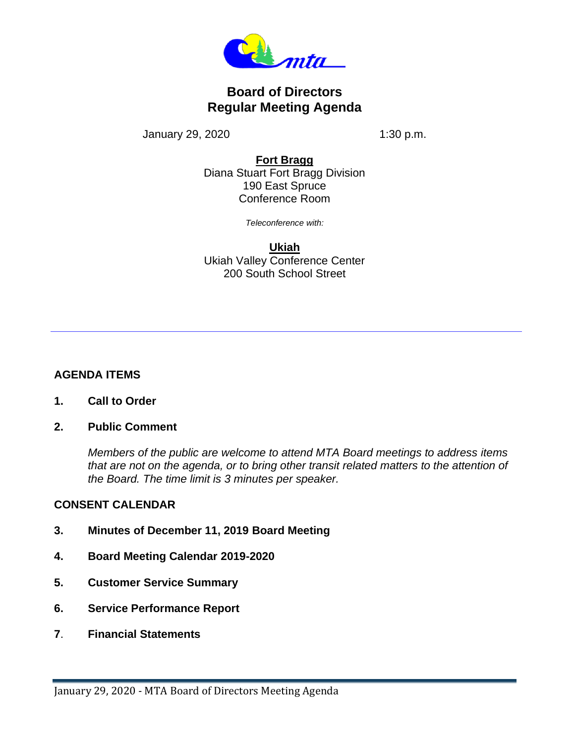

# **Board of Directors Regular Meeting Agenda**

January 29, 2020 1:30 p.m.

### **Fort Bragg**

Diana Stuart Fort Bragg Division 190 East Spruce Conference Room

*Teleconference with:*

**Ukiah** Ukiah Valley Conference Center 200 South School Street

## **AGENDA ITEMS**

- **1. Call to Order**
- **2. Public Comment**

*Members of the public are welcome to attend MTA Board meetings to address items that are not on the agenda, or to bring other transit related matters to the attention of the Board. The time limit is 3 minutes per speaker.* 

### **CONSENT CALENDAR**

- **3. Minutes of December 11, 2019 Board Meeting**
- **4. Board Meeting Calendar 2019-2020**
- **5. Customer Service Summary**
- **6. Service Performance Report**
- **7**. **Financial Statements**